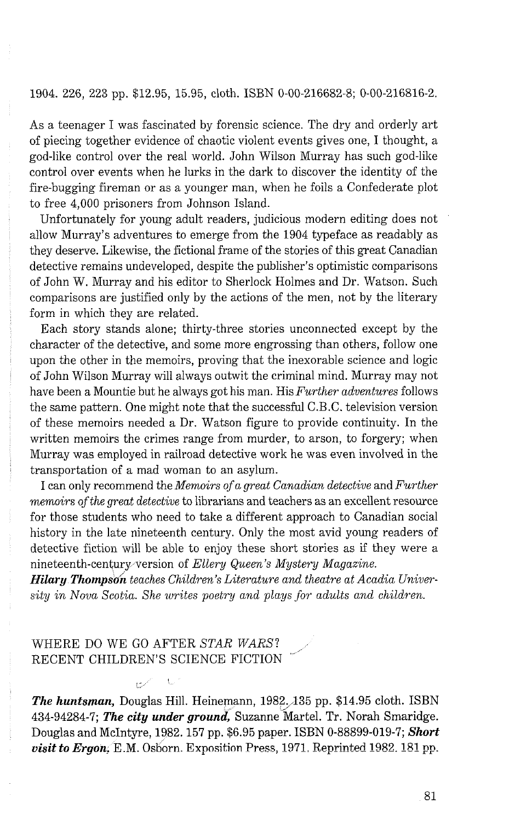## 1904. 226, 223 pp. \$12.95, 15.95, cloth. ISBN 0-00-216682-8; 0-00-216816-2.

As a teenager I was fascinated by forensic science. The dry and orderly art of piecing together evidence of chaotic violent events gives one, I thought, a god-like control over the real world. John Wilson Murray has such god-like control over events when he lurks in the dark to discover the identity of the fire-bugging fireman or as a younger man, when he foils a Confederate plot to free 4,000 prisoners from Johnson Island.

Unfortunately for young adult readers, judicious modern editing does not allow Murray's adventures to emerge from the 1904 typeface as readably as they deserve. Likewise, the fictional frame of the stories of this great Canadian detective remains undeveloped, despite the publisher's optimistic comparisons of John W. Murray and his editor to Sherlock Holmes and Dr. Watson. Such comparisons are justified only by the actions of the men, not by the literary form in which they are related.

Each story stands alone; thirty-three stories unconnected except by the character of the detective, and some more engrossing than others, follow one upon the other in the memoirs, proving that the inexorable science and logic of John Wilson Murray will always outwit the criminal mind. Murray may not have been a Mountie but he always got his man. His Further adventures follows the same pattern. One might note that the successful C.B.C. television version of these memoirs needed a Dr. Watson figure to provide continuity. In the written memoirs the crimes range from murder, to arson, to forgery; when Murray was employed in railroad detective work he was even involved in the transportation of a mad woman to an asylum.

I can only recommend the *Memoirs of a great Canadian detective* and *Further memoirs ofthe great detective* to librarians and teachers as an excellent resource for those students who need to take a different approach to Canadian social history in the late nineteenth century. Only the most avid young readers of detective fiction will be able to enjoy these short stories as if they were a nineteenth-century version of *Ellery Queen's Mystery Magazine.* 

*Hilary Thompson teaches Children's Literature and theatre at Acadia University in Nova Scotia. She writes poetmj and plays for' adults and children.* 

## WHERE DO WE GO AFTER STAR WARS? RECENT CHILDREN'S SCIENCE FICTION

 $\mathbf{t}_\mathrm{in}$ 

*The huntsman,* Douglas Hill. Heinemann, 1982,135 pp. \$14.95 cloth. ISBN 434-94284-7; **The city under ground**, Suzanne Martel. Tr. Norah Smaridge. Douglas and McIntyre, 1982.157 pp. \$6.95 paper. ISBN 0-88899-019-7; *Short visit to Ergon*, E.M. Osborn. Exposition Press, 1971. Reprinted 1982. 181 pp.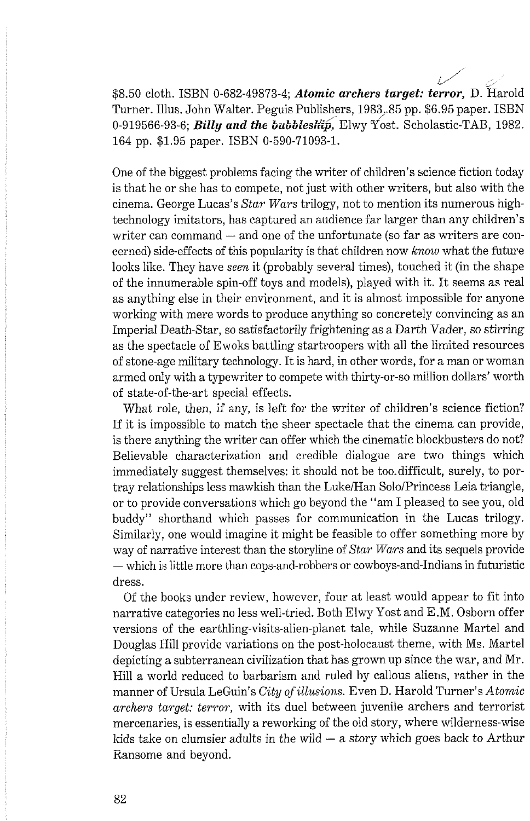\$8.50 cloth. ISBN 0-682-49873-4; *Atomic archers target: terror*, D. Harold Turner. Illus. John Walter. Peguis Publishers, 1983; 85 pp. \$6.95 paper. ISBN 0-919566-93-6; **Billy** *and the bubbleshaj,* Elwy Yost. Scholastic-TAB, 1982. 164 pp. \$1.95 paper. ISBN 0-590-71093-1.

 $\overline{\mathscr{L}}$ 

One of the biggest problems facing the writer of children's science fiction today is that he or she has to compete, not just with other writers, but also with the cinema. George Lucas's *Star Wars* trilogy, not to mention its numerous hightechnology imitators, has captured an audience far larger than any children's writer can command  $-$  and one of the unfortunate (so far as writers are concerned) side-effects of this popularity is that children now *know* what the future looks like. They have *seen* it (probably several times), touched it (in the shape of the innumerable spin-off toys and models), played with it. It seems as real as anything else in their environment, and it is almost impossible for anyone working with mere words to produce anything so concretely convincing as an Imperial Death-Star, so satisfactorily frightening as a Darth Vader, so stirring as the spectacle of Ewoks battling startroopers with all the limited resources of stone-age military technology. It is hard, in other words, for a man or woman armed only with a typewriter to compete with thirty-or-so million dollars' worth of state-of-the-art special effects.

What role, then, if any, is left for the writer of children's science fiction? If it is impossible to match the sheer spectacle that the cinema can provide, is there anything the writer can offer which the cinematic blockbusters do not? Believable characterization and credible dialogue are two things which immediately suggest themselves: it should not be too-difficult, surely, to portray relationships less mawkish than the Luke/Han Solo/Princess Leia triangle, or to provide conversations which go beyond the "am I pleased to see you, old buddy" shorthand which passes for communication in the Lucas trilogy. Similarly, one would imagine it might be feasible to offer something more by way of narrative interest than the storyline of *Star Wars* and its sequels provide - which is little more than cops-and-robbers or cowboys-and-Indians in futuristic dress.

Of the books under review, however, four at least would appear to fit into narrative categories no less well-tried. Both Elwy Yost and E.M. Osborn offer versions of the earthling-visits-alien-planet tale, while Suzanne Martel and Douglas Hill provide variations on the post-holocaust theme, with Ms. Martel depicting a subterranean civilization that has grown up since the war, and Mr. Hill a world reduced to barbarism and ruled by callous aliens, rather in the manner of Ursula LeGuin's *City of illusions.* Even *D.* Harold Turner's *Atomic archers target: terror,* with its duel between juvenile archers and terrorist mercenaries, is essentially a reworking of the old story, where wilderness-wise<br>kids take on clumsier adults in the wild — a story which goes back to Arthur Ransome and beyond.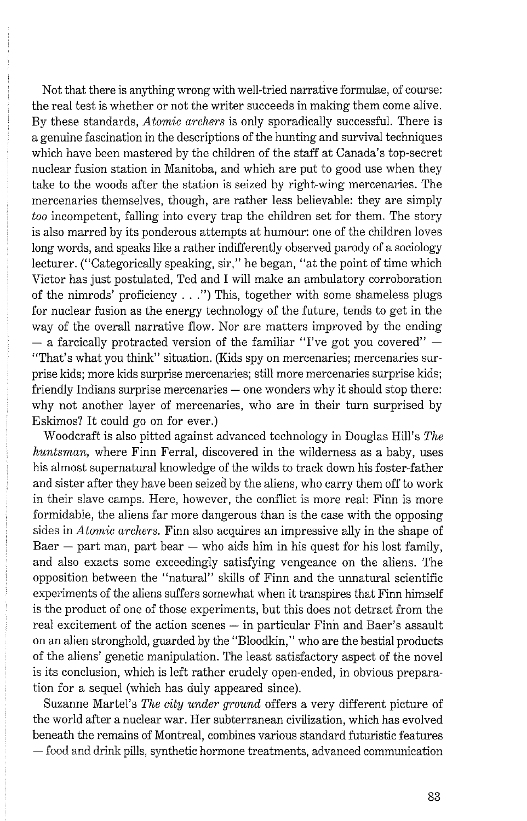Not that there is anything wrong with well-tried narrative formulae, of course: the real test is whether or not the writer succeeds in making them come alive. By these standards, *Atomic archers* is only sporadically successful. There is a genuine fascination in the descriptions of the hunting and survival techniques which have been mastered by the children of the staff at Canada's top-secret nuclear fusion station in Manitoba, and which are put to good use when they take to the woods after the station is seized by right-wing mercenaries. The mercenaries themselves, though, are rather less believable: they are simply *too* incompetent, falling into every trap the children set for them. The story is also marred by its ponderous attempts at humour: one of the children loves long words, and speaks like a rather indifferently observed parody of a sociology lecturer. ("Categorically speaking, sir," he began, "at the point of time which Victor has just postulated, Ted and I will make an ambulatory corroboration of the nimrods' proficiency . . .") This, together with some shameless plugs for nuclear fusion as the energy technology of the future, tends to get in the way of the overall narrative flow. Nor are matters improved by the ending  $-$  a farcically protracted version of the familiar "I've got you covered"  $-$ "That's what you think" situation. (Kids spy on mercenaries; mercenaries surprise kids; more kids surprise mercenaries; still more mercenaries surprise kids; friendly Indians surprise mercenaries  $-$  one wonders why it should stop there: why not another layer of mercenaries, who are in their turn surprised by Eskimos? It could go on for ever.)

Woodcraft is also pitted against advanced technology in Douglas Hill's *The huntsman,* where Finn Ferral, discovered in the wilderness as a baby, uses his almost supernatural knowledge of the wilds to track down his foster-father and sister after they have been seized by the aliens, who carry them off to work in their slave camps. Here, however, the conflict is more real: Finn is more formidable, the aliens far more dangerous than is the case with the opposing sides in *Atomic archers.* Finn also acquires an impressive ally in the shape of Baer  $-$  part man, part bear  $-$  who aids him in his quest for his lost family, and also exacts some exceedingly satisfying vengeance on the aliens. The opposition between the "natural" skills of Finn and the unnatural scientific experiments of the aliens suffers somewhat when it transpires that Finn himself is the product of one of those experiments, but this does not detract from the real excitement of the action scenes - in particular Finn and Baer's assault on an alien stronghold, guarded by the "Bloodkin," who are the bestial products of the aliens' genetic manipulation. The least satisfactory aspect of the novel is its conclusion, which is left rather crudely open-ended, in obvious preparation for a sequel (which has duly appeared since).

Suzanne Martel's *The city under ground* offers a very different picture of the world after a nuclear war. Her subterranean civilization, which has evolved beneath the remains of Montreal, combines various standard futuristic features  $-$  food and drink pills, synthetic hormone treatments, advanced communication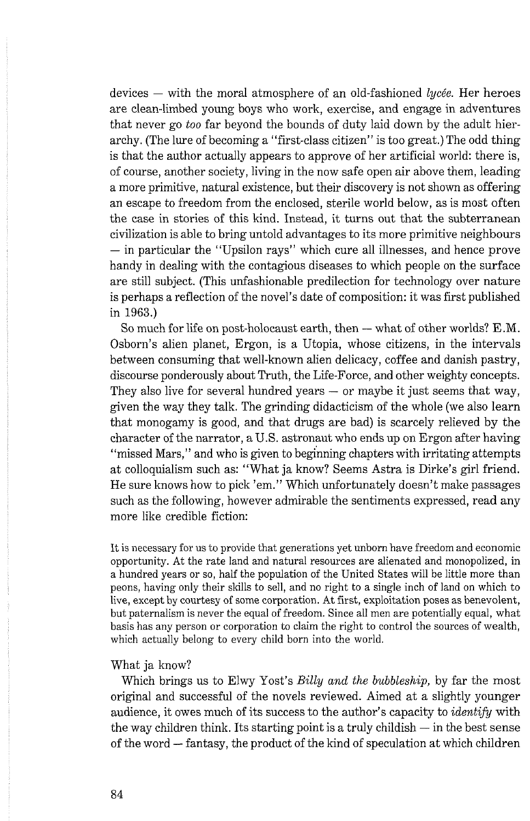devices  $-$  with the moral atmosphere of an old-fashioned lycée. Her heroes are clean-limbed young boys who work, exercise, and engage in adventures that never go too far beyond the bounds of duty laid down by the adult hierarchy. (The lure of becoming a "first-class citizen" is too great.) The odd thing is that the author actually appears to approve of her artificial world: there is, of course, another society, living in the now safe open air above them, leading a more primitive, natural existence, but their discovery is not shown as offering an escape to freedom from the enclosed, sterile world below, as is most often the case in stories of this kind. Instead, it turns out that the subterranean civilization is able to bring untold advantages to its more primitive neighbours  $-$  in particular the "Upsilon rays" which cure all illnesses, and hence prove handy in dealing with the contagious diseases to which people on the surface are still subject. (This unfashionable predilection for technology over nature is perhaps a reflection of the novel's date of composition: it was first published in 1963.)

So much for life on post-holocaust earth, then  $-$  what of other worlds? E.M. Osborn's alien planet, Ergon, is a Utopia, whose citizens, in the intervals between consuming that well-known alien delicacy, coffee and danish pastry, discourse ponderously about Truth, the Life-Force, and other weighty concepts. They also live for several hundred years  $-$  or maybe it just seems that way, given the way they talk. The grinding didacticism of the whole (we also learn that monogamy is good, and that drugs are bad) is scarcely relieved by the character of the narrator, a U.S. astronaut who ends up on Ergon after having "missed Mars," and who is given to beginning chapters with irritating attempts at colloquialism such as: "What ja know? Seems Astra is Dirke's girl friend. He sure knows how to pick 'em." Which unfortunately doesn't make passages such as the following, however admirable the sentiments expressed, read any more like credible fiction:

It is necessary for us to provide that generations yet unborn have freedom and economic opportunity. At the rate land and natural resources are alienated and monopolized, in a hundred years or so, half the population of the United States will be little more than peons, having only their skills to sell, and no right to a single inch of land on which to live, except by courtesy of some corporation. At first, exploitation poses as benevolent, but paternalism is never the equal of freedom. Since all men are potentially equal, what basis has any person or corporation to claim the right to control the sources of wealth, which actually belong to every child born into the world.

## What ja know?

Which brings us to Elwy Yost's *Billy and the bubbleship*, by far the most original and successful of the novels reviewed. Aimed at a slightly younger audience, it owes much of its success to the author's capacity to *identify* with the way children think. Its starting point is a truly childish — in the best sense the way children think. Its starting point is a truly childish  $-$  in the best sense of the word  $-$  fantasy, the product of the kind of speculation at which children